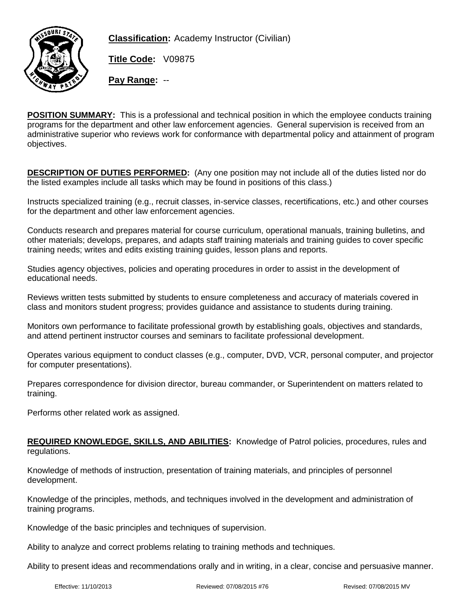

**Classification:** Academy Instructor (Civilian)

**Title Code:** V09875

**Pay Range:** --

**POSITION SUMMARY:** This is a professional and technical position in which the employee conducts training programs for the department and other law enforcement agencies. General supervision is received from an administrative superior who reviews work for conformance with departmental policy and attainment of program objectives.

**DESCRIPTION OF DUTIES PERFORMED:** (Any one position may not include all of the duties listed nor do the listed examples include all tasks which may be found in positions of this class.)

Instructs specialized training (e.g., recruit classes, in-service classes, recertifications, etc.) and other courses for the department and other law enforcement agencies.

Conducts research and prepares material for course curriculum, operational manuals, training bulletins, and other materials; develops, prepares, and adapts staff training materials and training guides to cover specific training needs; writes and edits existing training guides, lesson plans and reports.

Studies agency objectives, policies and operating procedures in order to assist in the development of educational needs.

Reviews written tests submitted by students to ensure completeness and accuracy of materials covered in class and monitors student progress; provides guidance and assistance to students during training.

Monitors own performance to facilitate professional growth by establishing goals, objectives and standards, and attend pertinent instructor courses and seminars to facilitate professional development.

Operates various equipment to conduct classes (e.g., computer, DVD, VCR, personal computer, and projector for computer presentations).

Prepares correspondence for division director, bureau commander, or Superintendent on matters related to training.

Performs other related work as assigned.

**REQUIRED KNOWLEDGE, SKILLS, AND ABILITIES:** Knowledge of Patrol policies, procedures, rules and regulations.

Knowledge of methods of instruction, presentation of training materials, and principles of personnel development.

Knowledge of the principles, methods, and techniques involved in the development and administration of training programs.

Knowledge of the basic principles and techniques of supervision.

Ability to analyze and correct problems relating to training methods and techniques.

Ability to present ideas and recommendations orally and in writing, in a clear, concise and persuasive manner.

Effective: 11/10/2013 Reviewed: 07/08/2015 #76 Revised: 07/08/2015 MV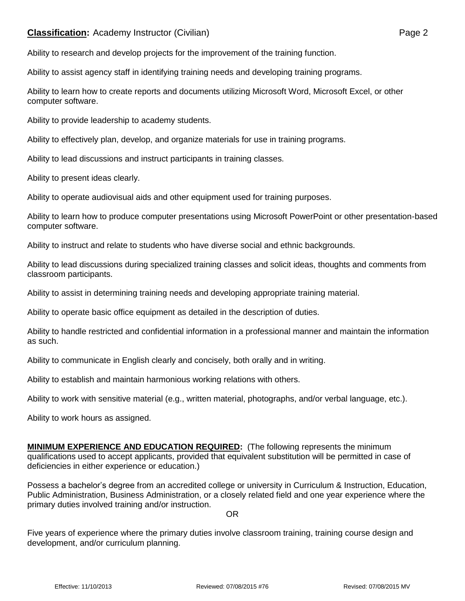## **Classification:** Academy Instructor (Civilian) **Page 2** Page 2

Ability to assist agency staff in identifying training needs and developing training programs.

Ability to learn how to create reports and documents utilizing Microsoft Word, Microsoft Excel, or other computer software.

Ability to provide leadership to academy students.

Ability to effectively plan, develop, and organize materials for use in training programs.

Ability to lead discussions and instruct participants in training classes.

Ability to present ideas clearly.

Ability to operate audiovisual aids and other equipment used for training purposes.

Ability to learn how to produce computer presentations using Microsoft PowerPoint or other presentation-based computer software.

Ability to instruct and relate to students who have diverse social and ethnic backgrounds.

Ability to lead discussions during specialized training classes and solicit ideas, thoughts and comments from classroom participants.

Ability to assist in determining training needs and developing appropriate training material.

Ability to operate basic office equipment as detailed in the description of duties.

Ability to handle restricted and confidential information in a professional manner and maintain the information as such.

Ability to communicate in English clearly and concisely, both orally and in writing.

Ability to establish and maintain harmonious working relations with others.

Ability to work with sensitive material (e.g., written material, photographs, and/or verbal language, etc.).

Ability to work hours as assigned.

**MINIMUM EXPERIENCE AND EDUCATION REQUIRED:** (The following represents the minimum qualifications used to accept applicants, provided that equivalent substitution will be permitted in case of deficiencies in either experience or education.)

Possess a bachelor's degree from an accredited college or university in Curriculum & Instruction, Education, Public Administration, Business Administration, or a closely related field and one year experience where the primary duties involved training and/or instruction.

OR

Five years of experience where the primary duties involve classroom training, training course design and development, and/or curriculum planning.